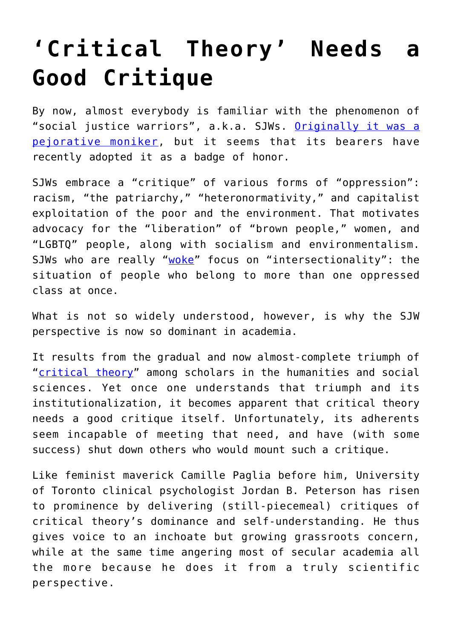## **['Critical Theory' Needs a](https://intellectualtakeout.org/2018/01/critical-theory-needs-a-good-critique/) [Good Critique](https://intellectualtakeout.org/2018/01/critical-theory-needs-a-good-critique/)**

By now, almost everybody is familiar with the phenomenon of "social justice warriors", a.k.a. SJWs. [Originally it was a](https://en.wikipedia.org/wiki/Social_justice_warrior) [pejorative moniker,](https://en.wikipedia.org/wiki/Social_justice_warrior) but it seems that its bearers have recently adopted it as a badge of honor.

SJWs embrace a "critique" of various forms of "oppression": racism, "the patriarchy," "heteronormativity," and capitalist exploitation of the poor and the environment. That motivates advocacy for the "liberation" of "brown people," women, and "LGBTQ" people, along with socialism and environmentalism. SJWs who are really "[woke"](https://www.merriam-webster.com/words-at-play/woke-meaning-origin) focus on "intersectionality": the situation of people who belong to more than one oppressed class at once.

What is not so widely understood, however, is why the SJW perspective is now so dominant in academia.

It results from the gradual and now almost-complete triumph of "[critical theory"](https://plato.stanford.edu/entries/critical-theory/) among scholars in the humanities and social sciences. Yet once one understands that triumph and its institutionalization, it becomes apparent that critical theory needs a good critique itself. Unfortunately, its adherents seem incapable of meeting that need, and have (with some success) shut down others who would mount such a critique.

Like feminist maverick Camille Paglia before him, University of Toronto clinical psychologist Jordan B. Peterson has risen to prominence by delivering (still-piecemeal) critiques of critical theory's dominance and self-understanding. He thus gives voice to an inchoate but growing grassroots concern, while at the same time angering most of secular academia all the more because he does it from a truly scientific perspective.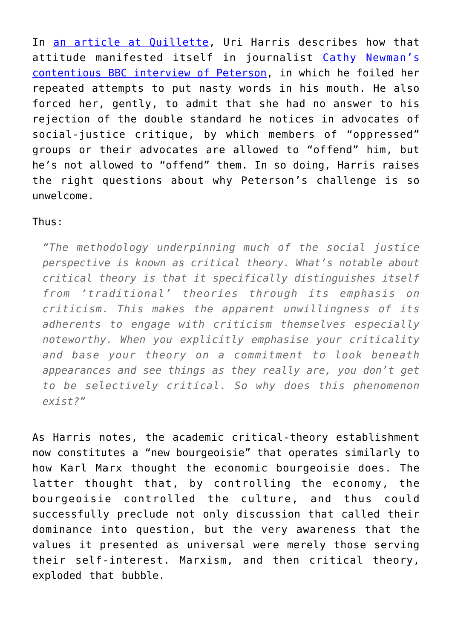In [an article at Quillette](http://quillette.com/2018/01/17/jordan-b-peterson-critical-theory-new-bourgeoisie/), Uri Harris describes how that attitude manifested itself in journalist [Cathy Newman's](https://www.youtube.com/watch?time_continue=818&v=aMcjxSThD54) [contentious BBC interview of Peterson](https://www.youtube.com/watch?time_continue=818&v=aMcjxSThD54), in which he foiled her repeated attempts to put nasty words in his mouth. He also forced her, gently, to admit that she had no answer to his rejection of the double standard he notices in advocates of social-justice critique, by which members of "oppressed" groups or their advocates are allowed to "offend" him, but he's not allowed to "offend" them. In so doing, Harris raises the right questions about why Peterson's challenge is so unwelcome.

## Thus:

*"The methodology underpinning much of the social justice perspective is known as critical theory. What's notable about critical theory is that it specifically distinguishes itself from 'traditional' theories through its emphasis on criticism. This makes the apparent unwillingness of its adherents to engage with criticism themselves especially noteworthy. When you explicitly emphasise your criticality and base your theory on a commitment to look beneath appearances and see things as they really are, you don't get to be selectively critical. So why does this phenomenon exist?"*

As Harris notes, the academic critical-theory establishment now constitutes a "new bourgeoisie" that operates similarly to how Karl Marx thought the economic bourgeoisie does. The latter thought that, by controlling the economy, the bourgeoisie controlled the culture, and thus could successfully preclude not only discussion that called their dominance into question, but the very awareness that the values it presented as universal were merely those serving their self-interest. Marxism, and then critical theory, exploded that bubble.